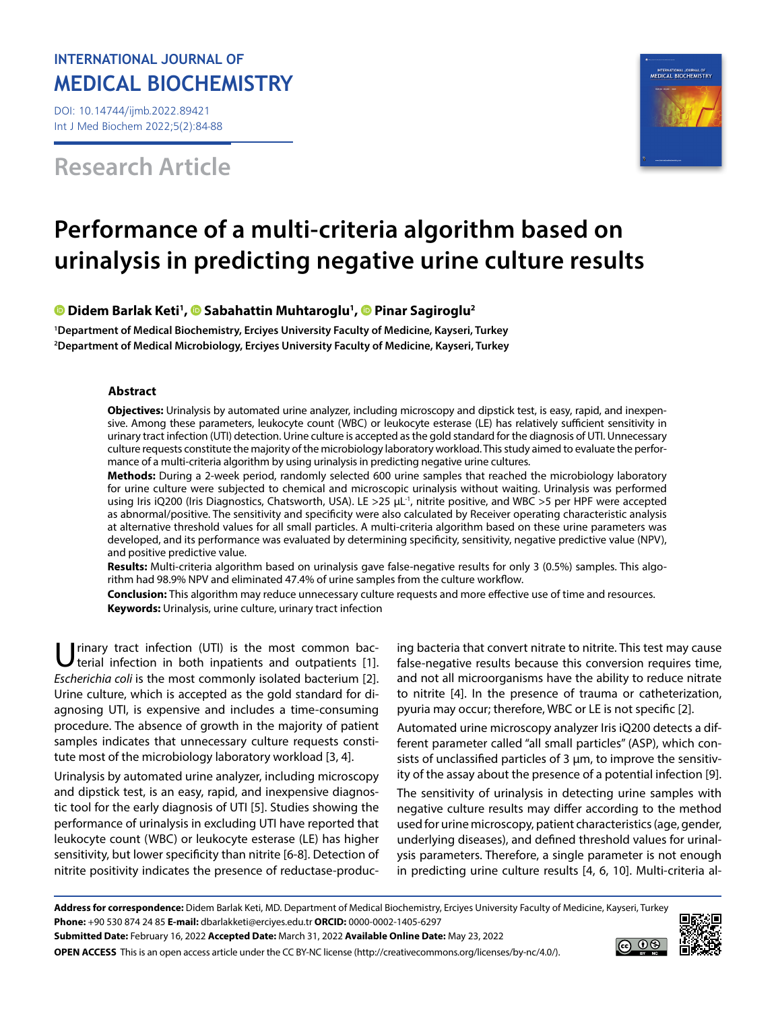# **INTERNATIONAL JOURNAL OF MEDICAL BIOCHEMISTRY**

DOI: 10.14744/ijmb.2022.89421 Int J Med Biochem 2022;5(2):84-88

**Research Article**



# **Performance of a multi-criteria algorithm based on urinalysis in predicting negative urine culture results**

**DidemBarlak Keti<sup>1</sup>[,](https://orcid.org/0000-0001-6742-0200) <sup>®</sup> Sabahattin Muhtaroglu<sup>1</sup>, <sup>®</sup> Pinar Sagiroglu<sup>2</sup>** 

**1 Department of Medical Biochemistry, Erciyes University Faculty of Medicine, Kayseri, Turkey 2 Department of Medical Microbiology, Erciyes University Faculty of Medicine, Kayseri, Turkey**

#### **Abstract**

**Objectives:** Urinalysis by automated urine analyzer, including microscopy and dipstick test, is easy, rapid, and inexpensive. Among these parameters, leukocyte count (WBC) or leukocyte esterase (LE) has relatively sufficient sensitivity in urinary tract infection (UTI) detection. Urine culture is accepted as the gold standard for the diagnosis of UTI. Unnecessary culture requests constitute the majority of the microbiology laboratory workload. This study aimed to evaluate the performance of a multi-criteria algorithm by using urinalysis in predicting negative urine cultures.

**Methods:** During a 2-week period, randomly selected 600 urine samples that reached the microbiology laboratory for urine culture were subjected to chemical and microscopic urinalysis without waiting. Urinalysis was performed using Iris iQ200 (Iris Diagnostics, Chatsworth, USA). LE >25 µL<sup>-1</sup>, nitrite positive, and WBC >5 per HPF were accepted as abnormal/positive. The sensitivity and specificity were also calculated by Receiver operating characteristic analysis at alternative threshold values for all small particles. A multi-criteria algorithm based on these urine parameters was developed, and its performance was evaluated by determining specificity, sensitivity, negative predictive value (NPV), and positive predictive value.

**Results:** Multi-criteria algorithm based on urinalysis gave false-negative results for only 3 (0.5%) samples. This algorithm had 98.9% NPV and eliminated 47.4% of urine samples from the culture workflow.

**Conclusion:** This algorithm may reduce unnecessary culture requests and more effective use of time and resources. **Keywords:** Urinalysis, urine culture, urinary tract infection

rinary tract infection (UTI) is the most common bacterial infection in both inpatients and outpatients [1]. *Escherichia coli* is the most commonly isolated bacterium [2]. Urine culture, which is accepted as the gold standard for diagnosing UTI, is expensive and includes a time-consuming procedure. The absence of growth in the majority of patient samples indicates that unnecessary culture requests constitute most of the microbiology laboratory workload [3, 4].

Urinalysis by automated urine analyzer, including microscopy and dipstick test, is an easy, rapid, and inexpensive diagnostic tool for the early diagnosis of UTI [5]. Studies showing the performance of urinalysis in excluding UTI have reported that leukocyte count (WBC) or leukocyte esterase (LE) has higher sensitivity, but lower specificity than nitrite [6-8]. Detection of nitrite positivity indicates the presence of reductase-producing bacteria that convert nitrate to nitrite. This test may cause false-negative results because this conversion requires time, and not all microorganisms have the ability to reduce nitrate to nitrite [4]. In the presence of trauma or catheterization, pyuria may occur; therefore, WBC or LE is not specific [2].

Automated urine microscopy analyzer Iris iQ200 detects a different parameter called "all small particles" (ASP), which consists of unclassified particles of 3 µm, to improve the sensitivity of the assay about the presence of a potential infection [9].

The sensitivity of urinalysis in detecting urine samples with negative culture results may differ according to the method used for urine microscopy, patient characteristics (age, gender, underlying diseases), and defined threshold values for urinalysis parameters. Therefore, a single parameter is not enough in predicting urine culture results [4, 6, 10]. Multi-criteria al-

**Address for correspondence:** Didem Barlak Keti, MD. Department of Medical Biochemistry, Erciyes University Faculty of Medicine, Kayseri, Turkey **Phone:** +90 530 874 24 85 **E-mail:** dbarlakketi@erciyes.edu.tr **ORCID:** 0000-0002-1405-6297



**OPEN ACCESS** This is an open access article under the CC BY-NC license (http://creativecommons.org/licenses/by-nc/4.0/).

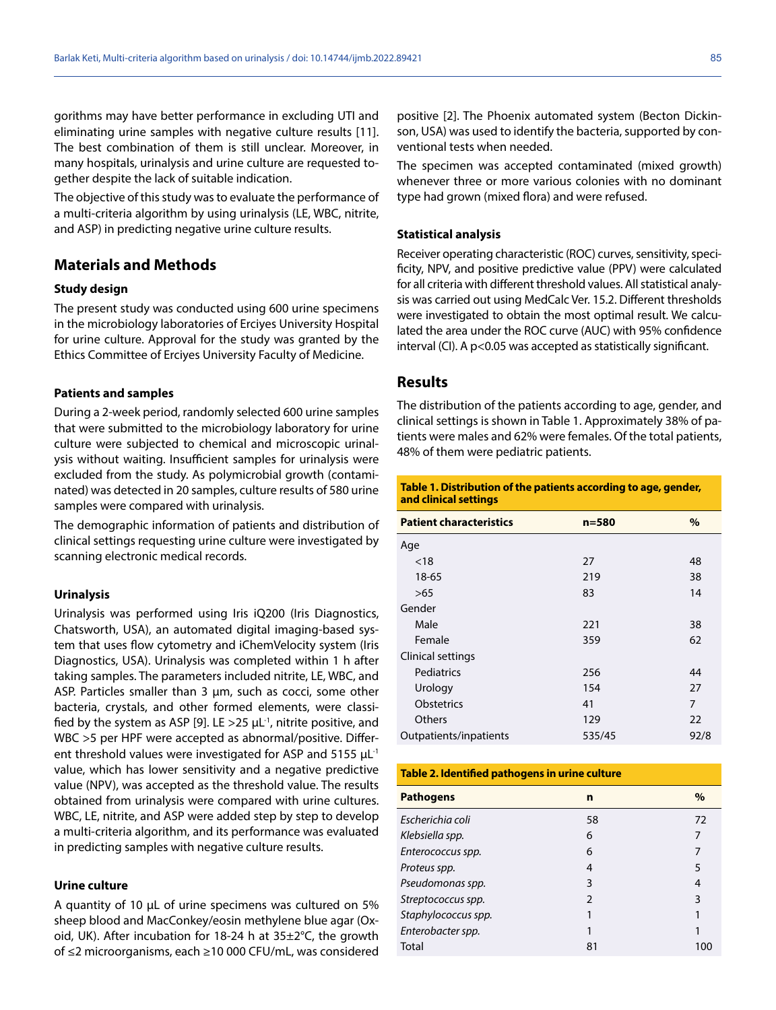gorithms may have better performance in excluding UTI and eliminating urine samples with negative culture results [11]. The best combination of them is still unclear. Moreover, in many hospitals, urinalysis and urine culture are requested together despite the lack of suitable indication.

The objective of this study was to evaluate the performance of a multi-criteria algorithm by using urinalysis (LE, WBC, nitrite, and ASP) in predicting negative urine culture results.

# **Materials and Methods**

#### **Study design**

The present study was conducted using 600 urine specimens in the microbiology laboratories of Erciyes University Hospital for urine culture. Approval for the study was granted by the Ethics Committee of Erciyes University Faculty of Medicine.

#### **Patients and samples**

During a 2-week period, randomly selected 600 urine samples that were submitted to the microbiology laboratory for urine culture were subjected to chemical and microscopic urinalysis without waiting. Insufficient samples for urinalysis were excluded from the study. As polymicrobial growth (contaminated) was detected in 20 samples, culture results of 580 urine samples were compared with urinalysis.

The demographic information of patients and distribution of clinical settings requesting urine culture were investigated by scanning electronic medical records.

#### **Urinalysis**

Urinalysis was performed using Iris iQ200 (Iris Diagnostics, Chatsworth, USA), an automated digital imaging-based system that uses flow cytometry and iChemVelocity system (Iris Diagnostics, USA). Urinalysis was completed within 1 h after taking samples. The parameters included nitrite, LE, WBC, and ASP. Particles smaller than 3 µm, such as cocci, some other bacteria, crystals, and other formed elements, were classified by the system as ASP [9]. LE  $>$ 25  $\mu$ L<sup>-1</sup>, nitrite positive, and WBC >5 per HPF were accepted as abnormal/positive. Different threshold values were investigated for ASP and  $5155 \mu L^{-1}$ value, which has lower sensitivity and a negative predictive value (NPV), was accepted as the threshold value. The results obtained from urinalysis were compared with urine cultures. WBC, LE, nitrite, and ASP were added step by step to develop a multi-criteria algorithm, and its performance was evaluated in predicting samples with negative culture results.

#### **Urine culture**

A quantity of 10 µL of urine specimens was cultured on 5% sheep blood and MacConkey/eosin methylene blue agar (Oxoid, UK). After incubation for 18-24 h at 35±2°C, the growth of ≤2 microorganisms, each ≥10 000 CFU/mL, was considered

positive [2]. The Phoenix automated system (Becton Dickinson, USA) was used to identify the bacteria, supported by conventional tests when needed.

The specimen was accepted contaminated (mixed growth) whenever three or more various colonies with no dominant type had grown (mixed flora) and were refused.

#### **Statistical analysis**

Receiver operating characteristic (ROC) curves, sensitivity, specificity, NPV, and positive predictive value (PPV) were calculated for all criteria with different threshold values. All statistical analysis was carried out using MedCalc Ver. 15.2. Different thresholds were investigated to obtain the most optimal result. We calculated the area under the ROC curve (AUC) with 95% confidence interval (CI). A p<0.05 was accepted as statistically significant.

### **Results**

The distribution of the patients according to age, gender, and clinical settings is shown in Table 1. Approximately 38% of patients were males and 62% were females. Of the total patients, 48% of them were pediatric patients.

**Table 1. Distribution of the patients according to age, gender, and clinical settings**

| <b>Patient characteristics</b> | $n = 580$ | $\%$ |
|--------------------------------|-----------|------|
| Age                            |           |      |
| < 18                           | 27        | 48   |
| 18-65                          | 219       | 38   |
| >65                            | 83        | 14   |
| Gender                         |           |      |
| Male                           | 221       | 38   |
| Female                         | 359       | 62   |
| Clinical settings              |           |      |
| Pediatrics                     | 256       | 44   |
| Urology                        | 154       | 27   |
| <b>Obstetrics</b>              | 41        | 7    |
| <b>Others</b>                  | 129       | 22   |
| Outpatients/inpatients         | 535/45    | 92/8 |

| Table 2. Identified pathogens in urine culture |    |      |  |  |  |
|------------------------------------------------|----|------|--|--|--|
| <b>Pathogens</b>                               | n  | $\%$ |  |  |  |
| Escherichia coli                               | 58 | 72   |  |  |  |
| Klebsiella spp.                                | 6  | 7    |  |  |  |
| Enterococcus spp.                              | 6  |      |  |  |  |
| Proteus spp.                                   | 4  | 5    |  |  |  |
| Pseudomonas spp.                               | 3  | 4    |  |  |  |
| Streptococcus spp.                             | C  | 3    |  |  |  |
| Staphylococcus spp.                            |    |      |  |  |  |
| Enterobacter spp.                              |    |      |  |  |  |
| Total                                          | 81 | 100  |  |  |  |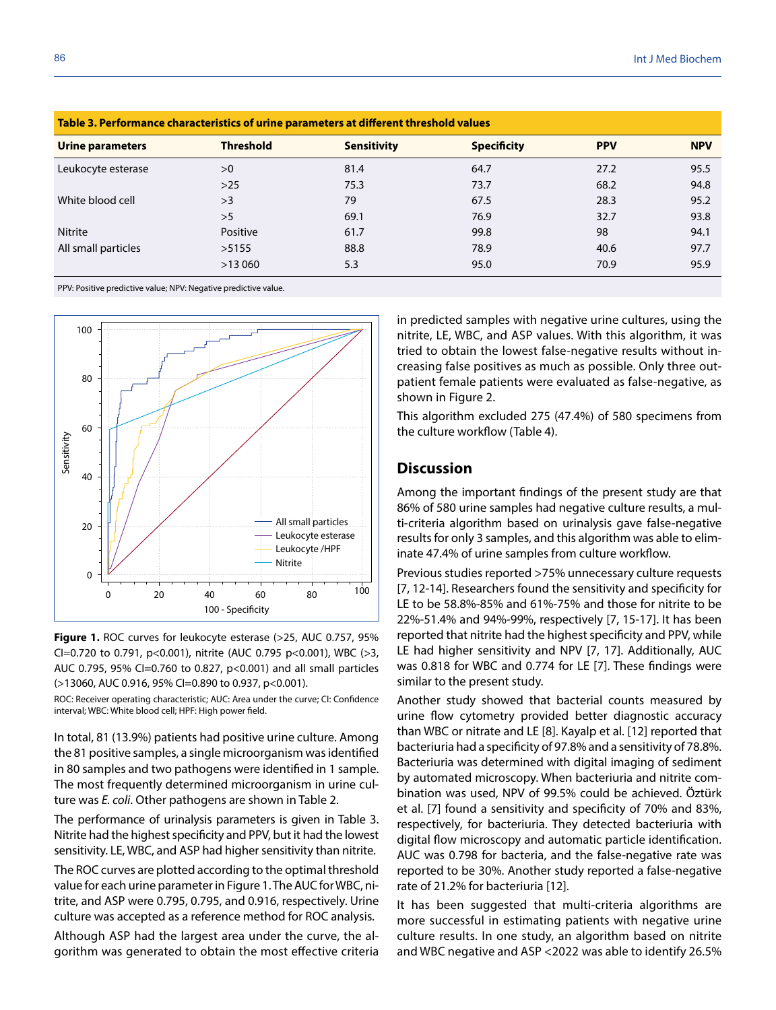| Table 3. Performance characteristics of urine parameters at different threshold values |                  |                    |                    |            |            |  |  |
|----------------------------------------------------------------------------------------|------------------|--------------------|--------------------|------------|------------|--|--|
| <b>Urine parameters</b>                                                                | <b>Threshold</b> | <b>Sensitivity</b> | <b>Specificity</b> | <b>PPV</b> | <b>NPV</b> |  |  |
| Leukocyte esterase                                                                     | >0               | 81.4               | 64.7               | 27.2       | 95.5       |  |  |
|                                                                                        | $>25$            | 75.3               | 73.7               | 68.2       | 94.8       |  |  |
| White blood cell                                                                       | >3               | 79                 | 67.5               | 28.3       | 95.2       |  |  |
|                                                                                        | >5               | 69.1               | 76.9               | 32.7       | 93.8       |  |  |
| <b>Nitrite</b>                                                                         | Positive         | 61.7               | 99.8               | 98         | 94.1       |  |  |
| All small particles                                                                    | >5155            | 88.8               | 78.9               | 40.6       | 97.7       |  |  |
|                                                                                        | >13060           | 5.3                | 95.0               | 70.9       | 95.9       |  |  |
|                                                                                        |                  |                    |                    |            |            |  |  |

PPV: Positive predictive value; NPV: Negative predictive value.



**Figure 1.** ROC curves for leukocyte esterase (>25, AUC 0.757, 95% CI=0.720 to 0.791, p<0.001), nitrite (AUC 0.795 p<0.001), WBC (>3, AUC 0.795, 95% CI=0.760 to 0.827, p<0.001) and all small particles (>13060, AUC 0.916, 95% CI=0.890 to 0.937, p<0.001).

ROC: Receiver operating characteristic; AUC: Area under the curve; CI: Confidence

In total, 81 (13.9%) patients had positive urine culture. Among the 81 positive samples, a single microorganism was identified in 80 samples and two pathogens were identified in 1 sample. The most frequently determined microorganism in urine culture was *E. coli*. Other pathogens are shown in Table 2.

The performance of urinalysis parameters is given in Table 3. Nitrite had the highest specificity and PPV, but it had the lowest sensitivity. LE, WBC, and ASP had higher sensitivity than nitrite.

The ROC curves are plotted according to the optimal threshold value for each urine parameter in Figure 1. The AUC for WBC, nitrite, and ASP were 0.795, 0.795, and 0.916, respectively. Urine culture was accepted as a reference method for ROC analysis.

Although ASP had the largest area under the curve, the algorithm was generated to obtain the most effective criteria in predicted samples with negative urine cultures, using the nitrite, LE, WBC, and ASP values. With this algorithm, it was tried to obtain the lowest false-negative results without increasing false positives as much as possible. Only three outpatient female patients were evaluated as false-negative, as shown in Figure 2.

This algorithm excluded 275 (47.4%) of 580 specimens from the culture workflow (Table 4).

## **Discussion**

Among the important findings of the present study are that 86% of 580 urine samples had negative culture results, a multi-criteria algorithm based on urinalysis gave false-negative results for only 3 samples, and this algorithm was able to eliminate 47.4% of urine samples from culture workflow.

Previous studies reported >75% unnecessary culture requests [7, 12-14]. Researchers found the sensitivity and specificity for LE to be 58.8%-85% and 61%-75% and those for nitrite to be 22%-51.4% and 94%-99%, respectively [7, 15-17]. It has been reported that nitrite had the highest specificity and PPV, while LE had higher sensitivity and NPV [7, 17]. Additionally, AUC was 0.818 for WBC and 0.774 for LE [7]. These findings were similar to the present study.

Another study showed that bacterial counts measured by urine flow cytometry provided better diagnostic accuracy than WBC or nitrate and LE [8]. Kayalp et al. [12] reported that bacteriuria had a specificity of 97.8% and a sensitivity of 78.8%. Bacteriuria was determined with digital imaging of sediment by automated microscopy. When bacteriuria and nitrite combination was used, NPV of 99.5% could be achieved. Öztürk et al. [7] found a sensitivity and specificity of 70% and 83%, respectively, for bacteriuria. They detected bacteriuria with digital flow microscopy and automatic particle identification. AUC was 0.798 for bacteria, and the false-negative rate was reported to be 30%. Another study reported a false-negative rate of 21.2% for bacteriuria [12].

It has been suggested that multi-criteria algorithms are more successful in estimating patients with negative urine culture results. In one study, an algorithm based on nitrite and WBC negative and ASP <2022 was able to identify 26.5%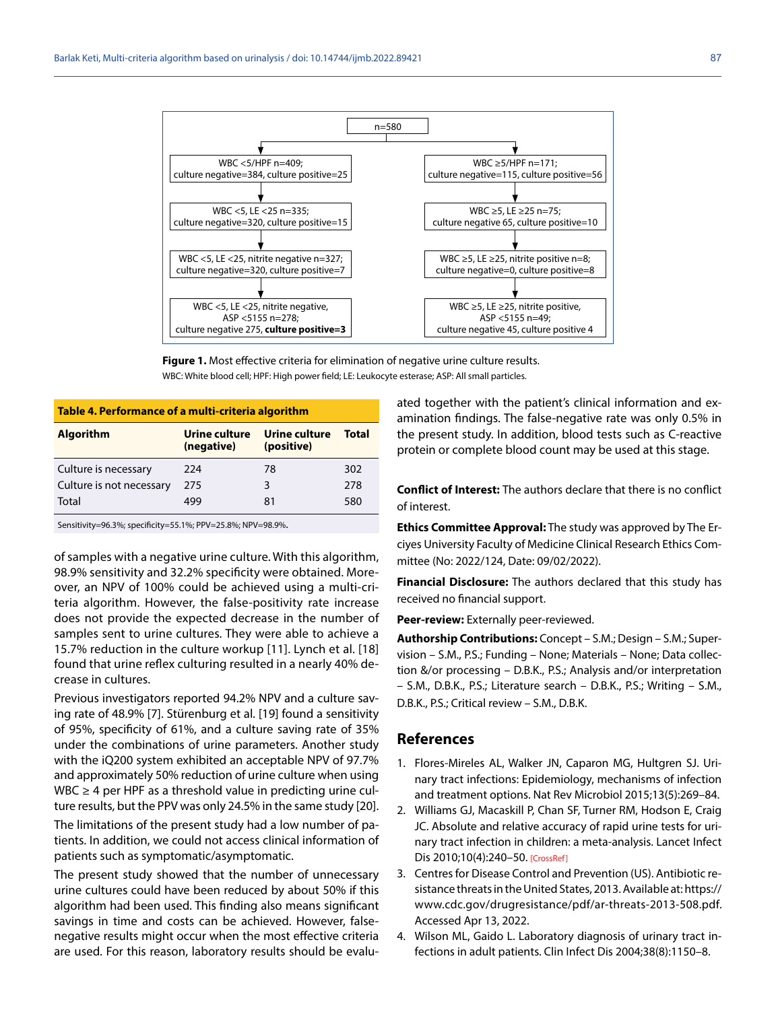

**Figure 1.** Most effective criteria for elimination of negative urine culture results. WBC: White blood cell; HPF: High power field; LE: Leukocyte esterase; ASP: All small particles.

| Table 4. Performance of a multi-criteria algorithm |                             |       |  |  |  |  |
|----------------------------------------------------|-----------------------------|-------|--|--|--|--|
| Urine culture<br>(negative)                        | Urine culture<br>(positive) | Total |  |  |  |  |
| 224                                                | 78                          | 302   |  |  |  |  |
| 275                                                | ξ                           | 278   |  |  |  |  |
| 499                                                | 81                          | 580   |  |  |  |  |
|                                                    |                             |       |  |  |  |  |

Sensitivity=96.3%; specificity=55.1%; PPV=25.8%; NPV=98.9%.

of samples with a negative urine culture. With this algorithm, 98.9% sensitivity and 32.2% specificity were obtained. Moreover, an NPV of 100% could be achieved using a multi-criteria algorithm. However, the false-positivity rate increase does not provide the expected decrease in the number of samples sent to urine cultures. They were able to achieve a 15.7% reduction in the culture workup [11]. Lynch et al. [18] found that urine reflex culturing resulted in a nearly 40% decrease in cultures.

Previous investigators reported 94.2% NPV and a culture saving rate of 48.9% [7]. Stürenburg et al. [19] found a sensitivity of 95%, specificity of 61%, and a culture saving rate of 35% under the combinations of urine parameters. Another study with the iQ200 system exhibited an acceptable NPV of 97.7% and approximately 50% reduction of urine culture when using WBC  $\geq$  4 per HPF as a threshold value in predicting urine culture results, but the PPV was only 24.5% in the same study [20].

The limitations of the present study had a low number of patients. In addition, we could not access clinical information of patients such as symptomatic/asymptomatic.

The present study showed that the number of unnecessary urine cultures could have been reduced by about 50% if this algorithm had been used. This finding also means significant savings in time and costs can be achieved. However, falsenegative results might occur when the most effective criteria are used. For this reason, laboratory results should be evaluated together with the patient's clinical information and examination findings. The false-negative rate was only 0.5% in the present study. In addition, blood tests such as C-reactive protein or complete blood count may be used at this stage.

**Conflict of Interest:** The authors declare that there is no conflict of interest.

**Ethics Committee Approval:** The study was approved by The Erciyes University Faculty of Medicine Clinical Research Ethics Committee (No: 2022/124, Date: 09/02/2022).

**Financial Disclosure:** The authors declared that this study has received no financial support.

**Peer-review:** Externally peer-reviewed.

**Authorship Contributions:** Concept – S.M.; Design – S.M.; Supervision – S.M., P.S.; Funding – None; Materials – None; Data collection &/or processing – D.B.K., P.S.; Analysis and/or interpretation – S.M., D.B.K., P.S.; Literature search – D.B.K., P.S.; Writing – S.M., D.B.K., P.S.; Critical review – S.M., D.B.K.

#### **References**

- 1. Flores-Mireles AL, Walker JN, Caparon MG, Hultgren SJ. Urinary tract infections: Epidemiology, mechanisms of infection and treatment options. Nat Rev Microbiol 2015;[13\(5\):269–84.](https://doi.org/10.1038/nrmicro3432)
- 2. Williams GJ, Macaskill P, Chan SF, Turner RM, Hodson E, Craig JC. Absolute and relative accuracy of rapid urine tests for urinary tract infection in children: a meta-analysis. Lancet Infect Dis 2010;10(4):240–5[0. \[CrossRef\]](https://doi.org/10.1016/S1473-3099(10)70031-1)
- 3. Centres for Disease Control and Prevention (US). Antibiotic resistance threats in the United States, 2013. Available at: https:// www.cdc.gov/drugresistance/pdf/ar-threats-2013-508.pdf. Accessed Apr 13, 2022.
- 4. Wilson ML, Gaido L. Laboratory diagnosis of urinary tract infections in adult patients. Clin Infect Dis 2004;3[8\(8\):1150–8.](https://doi.org/10.1086/383029)